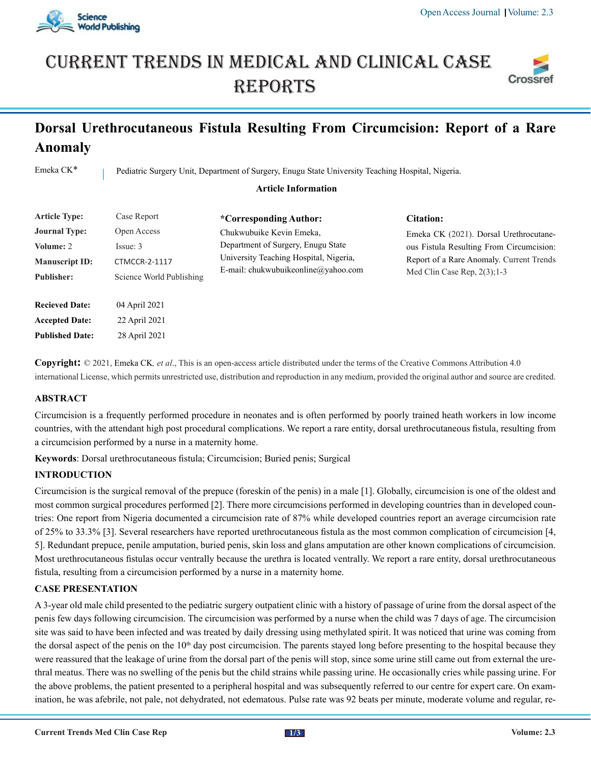

# Current trends in medical and Clinical case **REPORTS**



# **Dorsal Urethrocutaneous Fistula Resulting From Circumcision: Report of a Rare Anomaly**

Emeka CK<sup>\*</sup> Pediatric Surgery Unit, Department of Surgery, Enugu State University Teaching Hospital, Nigeria.

#### **Article Information**

| <b>Article Type:</b>                                                            | Case Report                                                                 | *Corresponding Author:                                                                                                                          | Citation:                                                                                                                                                         |
|---------------------------------------------------------------------------------|-----------------------------------------------------------------------------|-------------------------------------------------------------------------------------------------------------------------------------------------|-------------------------------------------------------------------------------------------------------------------------------------------------------------------|
| <b>Journal Type:</b><br>Volume: 2<br><b>Manuscript ID:</b><br><b>Publisher:</b> | Open Access<br>Issue: 3<br><b>CTMCCR-2-1117</b><br>Science World Publishing | Chukwubuike Kevin Emeka,<br>Department of Surgery, Enugu State<br>University Teaching Hospital, Nigeria,<br>E-mail: chukwubuikeonline@yahoo.com | Emeka CK (2021). Dorsal Urethrocutane-<br>ous Fistula Resulting From Circumcision:<br>Report of a Rare Anomaly. Current Trends<br>Med Clin Case Rep. $2(3)$ ; 1-3 |
| <b>Recieved Date:</b>                                                           | 04 April 2021                                                               |                                                                                                                                                 |                                                                                                                                                                   |
| <b>Accepted Date:</b><br><b>Published Date:</b>                                 | 22 April 2021<br>28 April 2021                                              |                                                                                                                                                 |                                                                                                                                                                   |

**Copyright:** © 2021, Emeka CK*, et al*., This is an open-access article distributed under the terms of the Creative Commons Attribution 4.0 international License, which permits unrestricted use, distribution and reproduction in any medium, provided the original author and source are credited.

## **ABSTRACT**

Circumcision is a frequently performed procedure in neonates and is often performed by poorly trained heath workers in low income countries, with the attendant high post procedural complications. We report a rare entity, dorsal urethrocutaneous fistula, resulting from a circumcision performed by a nurse in a maternity home.

**Keywords**: Dorsal urethrocutaneous fistula; Circumcision; Buried penis; Surgical

## **INTRODUCTION**

Circumcision is the surgical removal of the prepuce (foreskin of the penis) in a male [1]. Globally, circumcision is one of the oldest and most common surgical procedures performed [2]. There more circumcisions performed in developing countries than in developed countries: One report from Nigeria documented a circumcision rate of 87% while developed countries report an average circumcision rate of 25% to 33.3% [3]. Several researchers have reported urethrocutaneous fistula as the most common complication of circumcision [4, 5]. Redundant prepuce, penile amputation, buried penis, skin loss and glans amputation are other known complications of circumcision. Most urethrocutaneous fistulas occur ventrally because the urethra is located ventrally. We report a rare entity, dorsal urethrocutaneous fistula, resulting from a circumcision performed by a nurse in a maternity home.

## **CASE PRESENTATION**

A 3-year old male child presented to the pediatric surgery outpatient clinic with a history of passage of urine from the dorsal aspect of the penis few days following circumcision. The circumcision was performed by a nurse when the child was 7 days of age. The circumcision site was said to have been infected and was treated by daily dressing using methylated spirit. It was noticed that urine was coming from the dorsal aspect of the penis on the 10<sup>th</sup> day post circumcision. The parents stayed long before presenting to the hospital because they were reassured that the leakage of urine from the dorsal part of the penis will stop, since some urine still came out from external the urethral meatus. There was no swelling of the penis but the child strains while passing urine. He occasionally cries while passing urine. For the above problems, the patient presented to a peripheral hospital and was subsequently referred to our centre for expert care. On examination, he was afebrile, not pale, not dehydrated, not edematous. Pulse rate was 92 beats per minute, moderate volume and regular, re-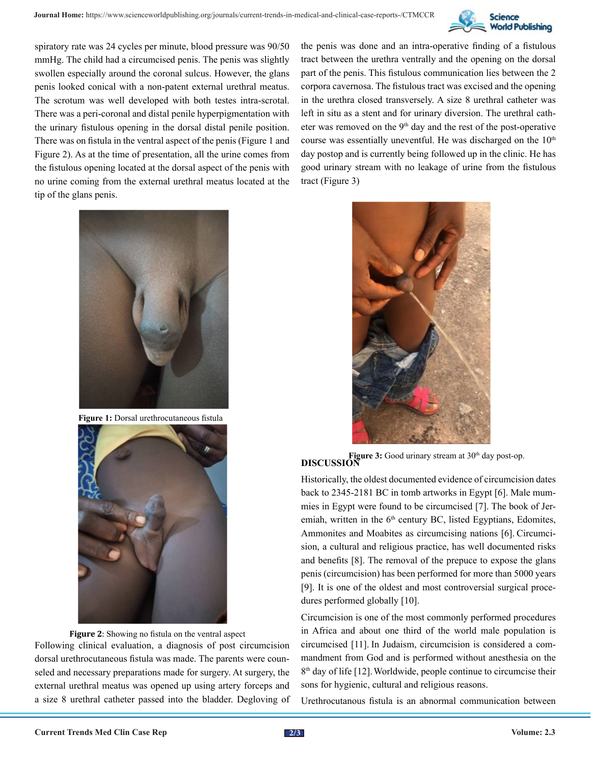

spiratory rate was 24 cycles per minute, blood pressure was 90/50 mmHg. The child had a circumcised penis. The penis was slightly swollen especially around the coronal sulcus. However, the glans penis looked conical with a non-patent external urethral meatus. The scrotum was well developed with both testes intra-scrotal. There was a peri-coronal and distal penile hyperpigmentation with the urinary fistulous opening in the dorsal distal penile position. There was on fistula in the ventral aspect of the penis (Figure 1 and Figure 2). As at the time of presentation, all the urine comes from the fistulous opening located at the dorsal aspect of the penis with no urine coming from the external urethral meatus located at the tip of the glans penis.

the penis was done and an intra-operative finding of a fistulous tract between the urethra ventrally and the opening on the dorsal part of the penis. This fistulous communication lies between the 2 corpora cavernosa. The fistulous tract was excised and the opening in the urethra closed transversely. A size 8 urethral catheter was left in situ as a stent and for urinary diversion. The urethral catheter was removed on the 9th day and the rest of the post-operative course was essentially uneventful. He was discharged on the  $10<sup>th</sup>$ day postop and is currently being followed up in the clinic. He has good urinary stream with no leakage of urine from the fistulous tract (Figure 3)



**Figure 1:** Dorsal urethrocutaneous fistula



**Figure 2**: Showing no fistula on the ventral aspect Following clinical evaluation, a diagnosis of post circumcision dorsal urethrocutaneous fistula was made. The parents were counseled and necessary preparations made for surgery. At surgery, the external urethral meatus was opened up using artery forceps and a size 8 urethral catheter passed into the bladder. Degloving of



**Figure 3:** Good urinary stream at 30<sup>th</sup> day post-op. **DISCUSSION** 

Historically, the oldest documented evidence of circumcision dates back to 2345-2181 BC in tomb artworks in Egypt [6]. Male mummies in Egypt were found to be circumcised [7]. The book of Jeremiah, written in the 6<sup>th</sup> century BC, listed Egyptians, Edomites, Ammonites and Moabites as circumcising nations [6]. Circumcision, a cultural and religious practice, has well documented risks and benefits [8]. The removal of the prepuce to expose the glans penis (circumcision) has been performed for more than 5000 years [9]. It is one of the oldest and most controversial surgical procedures performed globally [10].

Circumcision is one of the most commonly performed procedures in Africa and about one third of the world male population is circumcised [11]. In Judaism, circumcision is considered a commandment from God and is performed without anesthesia on the  $8<sup>th</sup>$  day of life [12]. Worldwide, people continue to circumcise their sons for hygienic, cultural and religious reasons.

Urethrocutanous fistula is an abnormal communication between